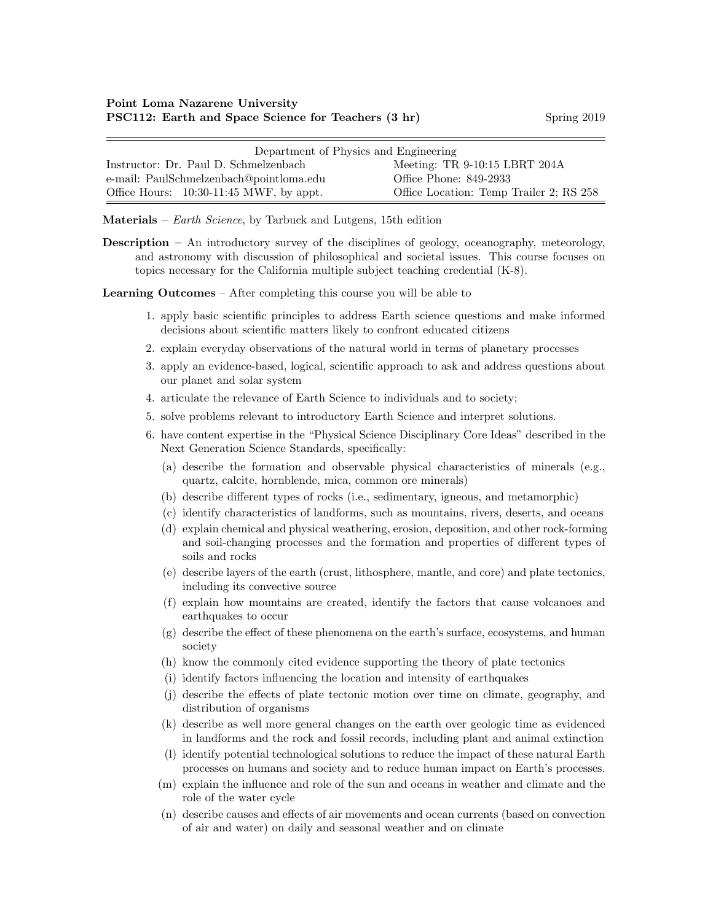| Department of Physics and Engineering     |                                         |  |
|-------------------------------------------|-----------------------------------------|--|
| Instructor: Dr. Paul D. Schmelzenbach     | Meeting: TR 9-10:15 LBRT 204A           |  |
| e-mail: PaulSchmelzenbach@pointloma.edu   | Office Phone: 849-2933                  |  |
| Office Hours: $10:30-11:45$ MWF, by appt. | Office Location: Temp Trailer 2; RS 258 |  |

Materials –  $Earth\,Science$ , by Tarbuck and Lutgens, 15th edition

Description – An introductory survey of the disciplines of geology, oceanography, meteorology, and astronomy with discussion of philosophical and societal issues. This course focuses on topics necessary for the California multiple subject teaching credential (K-8).

Learning Outcomes – After completing this course you will be able to

- 1. apply basic scientific principles to address Earth science questions and make informed decisions about scientific matters likely to confront educated citizens
- 2. explain everyday observations of the natural world in terms of planetary processes
- 3. apply an evidence-based, logical, scientific approach to ask and address questions about our planet and solar system
- 4. articulate the relevance of Earth Science to individuals and to society;
- 5. solve problems relevant to introductory Earth Science and interpret solutions.
- 6. have content expertise in the "Physical Science Disciplinary Core Ideas" described in the Next Generation Science Standards, specifically:
	- (a) describe the formation and observable physical characteristics of minerals (e.g., quartz, calcite, hornblende, mica, common ore minerals)
	- (b) describe different types of rocks (i.e., sedimentary, igneous, and metamorphic)
	- (c) identify characteristics of landforms, such as mountains, rivers, deserts, and oceans
	- (d) explain chemical and physical weathering, erosion, deposition, and other rock-forming and soil-changing processes and the formation and properties of different types of soils and rocks
	- (e) describe layers of the earth (crust, lithosphere, mantle, and core) and plate tectonics, including its convective source
	- (f) explain how mountains are created, identify the factors that cause volcanoes and earthquakes to occur
	- (g) describe the effect of these phenomena on the earth's surface, ecosystems, and human society
	- (h) know the commonly cited evidence supporting the theory of plate tectonics
	- (i) identify factors influencing the location and intensity of earthquakes
	- (j) describe the effects of plate tectonic motion over time on climate, geography, and distribution of organisms
	- (k) describe as well more general changes on the earth over geologic time as evidenced in landforms and the rock and fossil records, including plant and animal extinction
	- (l) identify potential technological solutions to reduce the impact of these natural Earth processes on humans and society and to reduce human impact on Earth's processes.
	- (m) explain the influence and role of the sun and oceans in weather and climate and the role of the water cycle
	- (n) describe causes and effects of air movements and ocean currents (based on convection of air and water) on daily and seasonal weather and on climate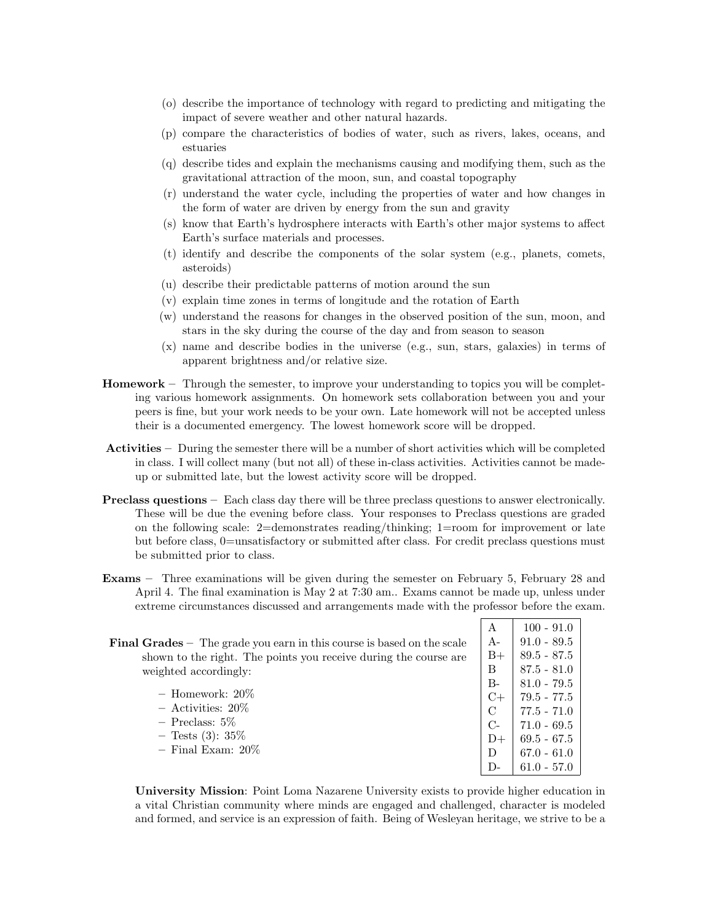- (o) describe the importance of technology with regard to predicting and mitigating the impact of severe weather and other natural hazards.
- (p) compare the characteristics of bodies of water, such as rivers, lakes, oceans, and estuaries
- (q) describe tides and explain the mechanisms causing and modifying them, such as the gravitational attraction of the moon, sun, and coastal topography
- (r) understand the water cycle, including the properties of water and how changes in the form of water are driven by energy from the sun and gravity
- (s) know that Earth's hydrosphere interacts with Earth's other major systems to affect Earth's surface materials and processes.
- (t) identify and describe the components of the solar system (e.g., planets, comets, asteroids)
- (u) describe their predictable patterns of motion around the sun
- (v) explain time zones in terms of longitude and the rotation of Earth
- (w) understand the reasons for changes in the observed position of the sun, moon, and stars in the sky during the course of the day and from season to season
- (x) name and describe bodies in the universe (e.g., sun, stars, galaxies) in terms of apparent brightness and/or relative size.
- Homework Through the semester, to improve your understanding to topics you will be completing various homework assignments. On homework sets collaboration between you and your peers is fine, but your work needs to be your own. Late homework will not be accepted unless their is a documented emergency. The lowest homework score will be dropped.
- Activities During the semester there will be a number of short activities which will be completed in class. I will collect many (but not all) of these in-class activities. Activities cannot be madeup or submitted late, but the lowest activity score will be dropped.
- Preclass questions Each class day there will be three preclass questions to answer electronically. These will be due the evening before class. Your responses to Preclass questions are graded on the following scale: 2=demonstrates reading/thinking; 1=room for improvement or late but before class, 0=unsatisfactory or submitted after class. For credit preclass questions must be submitted prior to class.
- Exams Three examinations will be given during the semester on February 5, February 28 and April 4. The final examination is May 2 at 7:30 am.. Exams cannot be made up, unless under extreme circumstances discussed and arrangements made with the professor before the exam.

|                                                                               | А          | $100 - 91.0$  |
|-------------------------------------------------------------------------------|------------|---------------|
| <b>Final Grades</b> – The grade you earn in this course is based on the scale | $A-$       | $91.0 - 89.5$ |
| shown to the right. The points you receive during the course are              | $B+$       | $89.5 - 87.5$ |
| weighted accordingly:                                                         | B          | $87.5 - 81.0$ |
|                                                                               | $B -$      | $81.0 - 79.5$ |
| $-$ Homework: $20\%$                                                          |            | $79.5 - 77.5$ |
| $-$ Activities: 20%                                                           |            | $77.5 - 71.0$ |
| $-$ Preclass: 5\%                                                             | $C_{\tau}$ | $71.0 - 69.5$ |
| $-$ Tests (3): 35\%                                                           | $D+$       | $69.5 - 67.5$ |
| $-$ Final Exam: $20\%$                                                        |            | $67.0 - 61.0$ |

University Mission: Point Loma Nazarene University exists to provide higher education in a vital Christian community where minds are engaged and challenged, character is modeled and formed, and service is an expression of faith. Being of Wesleyan heritage, we strive to be a

D-  $\big| 61.0 - 57.0 \big|$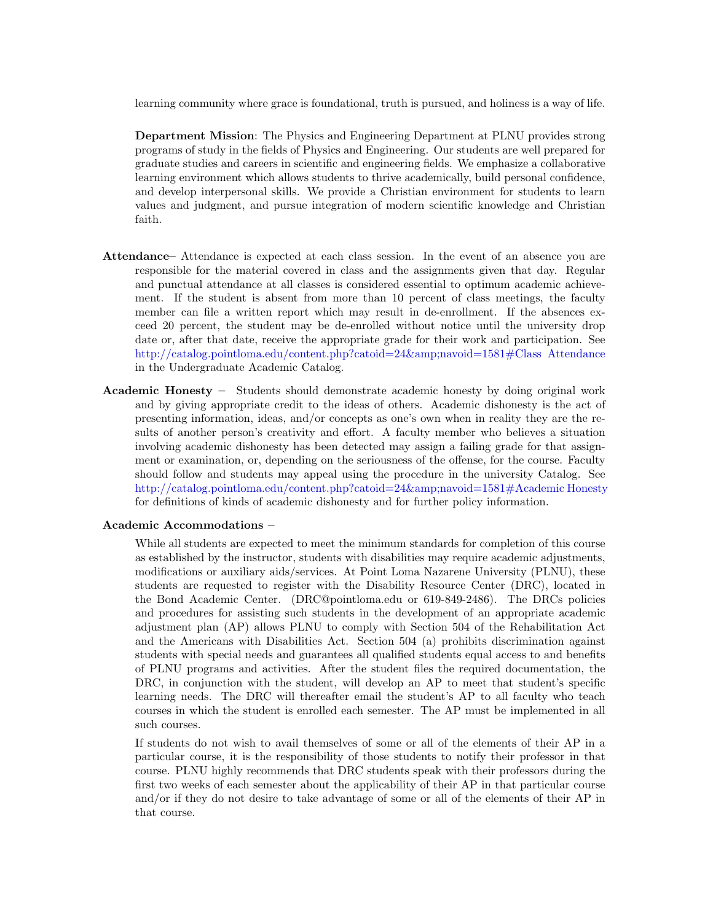learning community where grace is foundational, truth is pursued, and holiness is a way of life.

Department Mission: The Physics and Engineering Department at PLNU provides strong programs of study in the fields of Physics and Engineering. Our students are well prepared for graduate studies and careers in scientific and engineering fields. We emphasize a collaborative learning environment which allows students to thrive academically, build personal confidence, and develop interpersonal skills. We provide a Christian environment for students to learn values and judgment, and pursue integration of modern scientific knowledge and Christian faith.

- Attendance– Attendance is expected at each class session. In the event of an absence you are responsible for the material covered in class and the assignments given that day. Regular and punctual attendance at all classes is considered essential to optimum academic achievement. If the student is absent from more than 10 percent of class meetings, the faculty member can file a written report which may result in de-enrollment. If the absences exceed 20 percent, the student may be de-enrolled without notice until the university drop date or, after that date, receive the appropriate grade for their work and participation. See [http://catalog.pointloma.edu/content.php?catoid=24&navoid=1581#Class Attendance](http://catalog.pointloma.edu/content.php?catoid=24&navoid=1581) in the Undergraduate Academic Catalog.
- Academic Honesty Students should demonstrate academic honesty by doing original work and by giving appropriate credit to the ideas of others. Academic dishonesty is the act of presenting information, ideas, and/or concepts as one's own when in reality they are the results of another person's creativity and effort. A faculty member who believes a situation involving academic dishonesty has been detected may assign a failing grade for that assignment or examination, or, depending on the seriousness of the offense, for the course. Faculty should follow and students may appeal using the procedure in the university Catalog. See [http://catalog.pointloma.edu/content.php?catoid=24&navoid=1581#Academic Honesty](http://catalog.pointloma.edu/content.php?catoid=24&navoid=1581) for definitions of kinds of academic dishonesty and for further policy information.

## Academic Accommodations –

While all students are expected to meet the minimum standards for completion of this course as established by the instructor, students with disabilities may require academic adjustments, modifications or auxiliary aids/services. At Point Loma Nazarene University (PLNU), these students are requested to register with the Disability Resource Center (DRC), located in the Bond Academic Center. (DRC@pointloma.edu or 619-849-2486). The DRCs policies and procedures for assisting such students in the development of an appropriate academic adjustment plan (AP) allows PLNU to comply with Section 504 of the Rehabilitation Act and the Americans with Disabilities Act. Section 504 (a) prohibits discrimination against students with special needs and guarantees all qualified students equal access to and benefits of PLNU programs and activities. After the student files the required documentation, the DRC, in conjunction with the student, will develop an AP to meet that student's specific learning needs. The DRC will thereafter email the student's AP to all faculty who teach courses in which the student is enrolled each semester. The AP must be implemented in all such courses.

If students do not wish to avail themselves of some or all of the elements of their AP in a particular course, it is the responsibility of those students to notify their professor in that course. PLNU highly recommends that DRC students speak with their professors during the first two weeks of each semester about the applicability of their AP in that particular course and/or if they do not desire to take advantage of some or all of the elements of their AP in that course.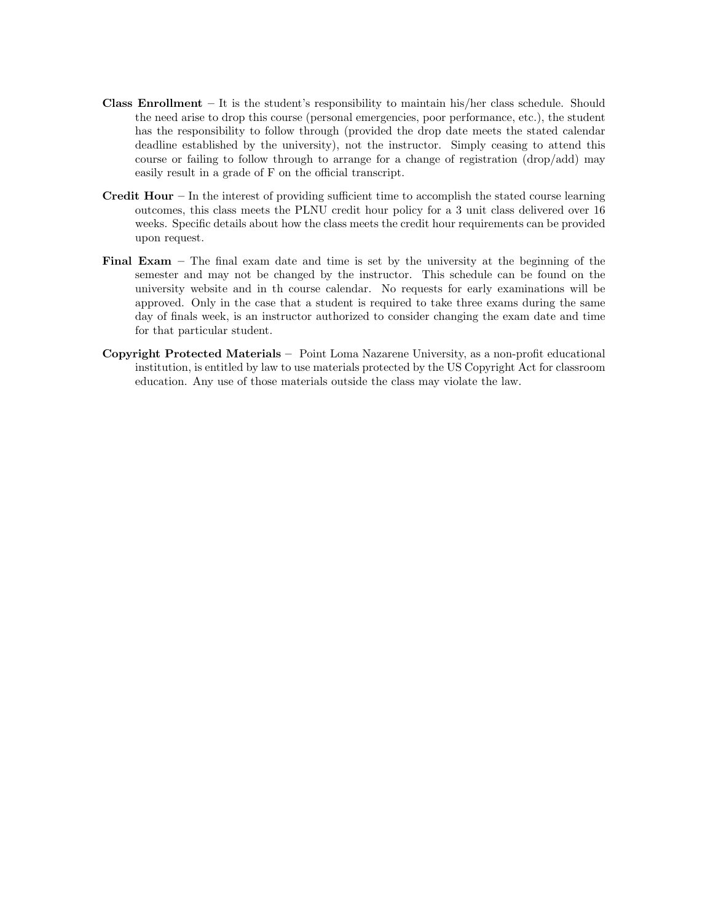- **Class Enrollment** It is the student's responsibility to maintain his/her class schedule. Should the need arise to drop this course (personal emergencies, poor performance, etc.), the student has the responsibility to follow through (provided the drop date meets the stated calendar deadline established by the university), not the instructor. Simply ceasing to attend this course or failing to follow through to arrange for a change of registration (drop/add) may easily result in a grade of F on the official transcript.
- **Credit Hour** In the interest of providing sufficient time to accomplish the stated course learning outcomes, this class meets the PLNU credit hour policy for a 3 unit class delivered over 16 weeks. Specific details about how the class meets the credit hour requirements can be provided upon request.
- Final Exam The final exam date and time is set by the university at the beginning of the semester and may not be changed by the instructor. This schedule can be found on the university website and in th course calendar. No requests for early examinations will be approved. Only in the case that a student is required to take three exams during the same day of finals week, is an instructor authorized to consider changing the exam date and time for that particular student.
- Copyright Protected Materials Point Loma Nazarene University, as a non-profit educational institution, is entitled by law to use materials protected by the US Copyright Act for classroom education. Any use of those materials outside the class may violate the law.